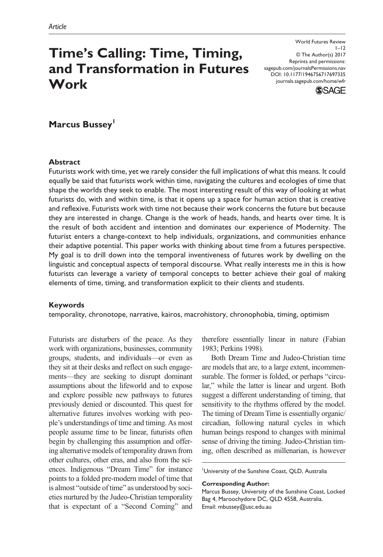# **Time's Calling: Time, Timing, and Transformation in Futures Work**

World Futures Review  $I-I2$ © The Author(s) 2017 Reprints and permissions: [sagepub.com/journalsPermissions.nav](https://us.sagepub.com/en-us/journals-permissions) DOI: 10.1177/1946756717697335 [journals.sagepub.com/home/wfr](https://journals.sagepub.com/home/wfr) **SSAGE** 

## **Marcus Bussey**

#### **Abstract**

Futurists work with time, yet we rarely consider the full implications of what this means. It could equally be said that futurists work within time, navigating the cultures and ecologies of time that shape the worlds they seek to enable. The most interesting result of this way of looking at what futurists do, with and within time, is that it opens up a space for human action that is creative and reflexive. Futurists work with time not because their work concerns the future but because they are interested in change. Change is the work of heads, hands, and hearts over time. It is the result of both accident and intention and dominates our experience of Modernity. The futurist enters a change-context to help individuals, organizations, and communities enhance their adaptive potential. This paper works with thinking about time from a futures perspective. My goal is to drill down into the temporal inventiveness of futures work by dwelling on the linguistic and conceptual aspects of temporal discourse. What really interests me in this is how futurists can leverage a variety of temporal concepts to better achieve their goal of making elements of time, timing, and transformation explicit to their clients and students.

#### **Keywords**

temporality, chronotope, narrative, kairos, macrohistory, chronophobia, timing, optimism

Futurists are disturbers of the peace. As they work with organizations, businesses, community groups, students, and individuals—or even as they sit at their desks and reflect on such engagements—they are seeking to disrupt dominant assumptions about the lifeworld and to expose and explore possible new pathways to futures previously denied or discounted. This quest for alternative futures involves working with people's understandings of time and timing. As most people assume time to be linear, futurists often begin by challenging this assumption and offering alternative models of temporality drawn from other cultures, other eras, and also from the sciences. Indigenous "Dream Time" for instance points to a folded pre-modern model of time that is almost "outside of time" as understood by societies nurtured by the Judeo-Christian temporality that is expectant of a "Second Coming" and therefore essentially linear in nature (Fabian 1983; Perkins 1998).

Both Dream Time and Judeo-Christian time are models that are, to a large extent, incommensurable. The former is folded, or perhaps "circular," while the latter is linear and urgent. Both suggest a different understanding of timing, that sensitivity to the rhythms offered by the model. The timing of Dream Time is essentially organic/ circadian, following natural cycles in which human beings respond to changes with minimal sense of driving the timing. Judeo-Christian timing, often described as millenarian, is however

University of the Sunshine Coast, QLD, Australia

#### **Corresponding Author:**

Marcus Bussey, University of the Sunshine Coast, Locked Bag 4, Maroochydore DC, QLD 4558, Australia. Email: mbussey@usc.edu.au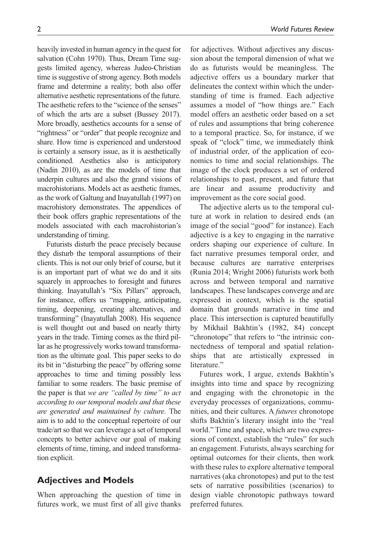heavily invested in human agency in the quest for salvation (Cohn 1970). Thus, Dream Time suggests limited agency, whereas Judeo-Christian time is suggestive of strong agency. Both models frame and determine a reality; both also offer alternative aesthetic representations of the future. The aesthetic refers to the "science of the senses" of which the arts are a subset (Bussey 2017). More broadly, aesthetics accounts for a sense of "rightness" or "order" that people recognize and share. How time is experienced and understood is certainly a sensory issue, as it is aesthetically conditioned. Aesthetics also is anticipatory (Nadin 2010), as are the models of time that underpin cultures and also the grand visions of macrohistorians. Models act as aesthetic frames, as the work of Galtung and Inayatullah (1997) on macrohistory demonstrates. The appendices of their book offers graphic representations of the models associated with each macrohistorian's understanding of timing.

Futurists disturb the peace precisely because they disturb the temporal assumptions of their clients. This is not our only brief of course, but it is an important part of what we do and it sits squarely in approaches to foresight and futures thinking. Inayatullah's "Six Pillars" approach, for instance, offers us "mapping, anticipating, timing, deepening, creating alternatives, and transforming" (Inayatullah 2008). His sequence is well thought out and based on nearly thirty years in the trade. Timing comes as the third pillar as he progressively works toward transformation as the ultimate goal. This paper seeks to do its bit in "disturbing the peace" by offering some approaches to time and timing possibly less familiar to some readers. The basic premise of the paper is that *we are "called by time" to act according to our temporal models and that these are generated and maintained by culture.* The aim is to add to the conceptual repertoire of our trade/art so that we can leverage a set of temporal concepts to better achieve our goal of making elements of time, timing, and indeed transformation explicit.

## **Adjectives and Models**

When approaching the question of time in futures work, we must first of all give thanks for adjectives. Without adjectives any discussion about the temporal dimension of what we do as futurists would be meaningless. The adjective offers us a boundary marker that delineates the context within which the understanding of time is framed. Each adjective assumes a model of "how things are." Each model offers an aesthetic order based on a set of rules and assumptions that bring coherence to a temporal practice. So, for instance, if we speak of "clock" time, we immediately think of industrial order, of the application of economics to time and social relationships. The image of the clock produces a set of ordered relationships to past, present, and future that are linear and assume productivity and improvement as the core social good.

The adjective alerts us to the temporal culture at work in relation to desired ends (an image of the social "good" for instance). Each adjective is a key to engaging in the narrative orders shaping our experience of culture. In fact narrative presumes temporal order, and because cultures are narrative enterprises (Runia 2014; Wright 2006) futurists work both across and between temporal and narrative landscapes. These landscapes converge and are expressed in context, which is the spatial domain that grounds narrative in time and place. This intersection is captured beautifully by Mikhail Bakhtin's (1982, 84) concept "chronotope" that refers to "the intrinsic connectedness of temporal and spatial relationships that are artistically expressed in literature."

Futures work, I argue, extends Bakhtin's insights into time and space by recognizing and engaging with the chronotopic in the everyday processes of organizations, communities, and their cultures. A *futures* chronotope shifts Bakhtin's literary insight into the "real world." Time and space, which are two expressions of context, establish the "rules" for such an engagement. Futurists, always searching for optimal outcomes for their clients, then work with these rules to explore alternative temporal narratives (aka chronotopes) and put to the test sets of narrative possibilities (scenarios) to design viable chronotopic pathways toward preferred futures.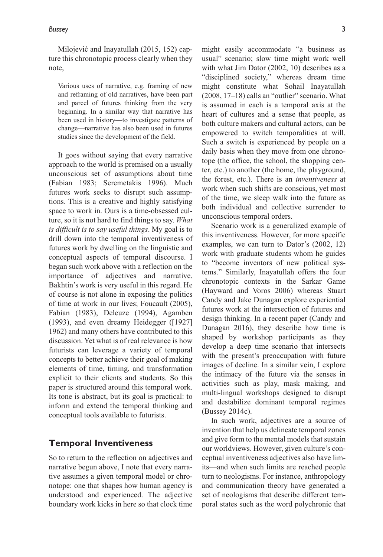Milojević and Inayatullah (2015, 152) capture this chronotopic process clearly when they note,

Various uses of narrative, e.g. framing of new and reframing of old narratives, have been part and parcel of futures thinking from the very beginning. In a similar way that narrative has been used in history—to investigate patterns of change—narrative has also been used in futures studies since the development of the field.

It goes without saying that every narrative approach to the world is premised on a usually unconscious set of assumptions about time (Fabian 1983; Seremetakis 1996). Much futures work seeks to disrupt such assumptions. This is a creative and highly satisfying space to work in. Ours is a time-obsessed culture, so it is not hard to find things to say. *What is difficult is to say useful things*. My goal is to drill down into the temporal inventiveness of futures work by dwelling on the linguistic and conceptual aspects of temporal discourse. I began such work above with a reflection on the importance of adjectives and narrative. Bakhtin's work is very useful in this regard. He of course is not alone in exposing the politics of time at work in our lives; Foucault (2005), Fabian (1983), Deleuze (1994), Agamben (1993), and even dreamy Heidegger ([1927] 1962) and many others have contributed to this discussion. Yet what is of real relevance is how futurists can leverage a variety of temporal concepts to better achieve their goal of making elements of time, timing, and transformation explicit to their clients and students. So this paper is structured around this temporal work. Its tone is abstract, but its goal is practical: to inform and extend the temporal thinking and conceptual tools available to futurists.

## **Temporal Inventiveness**

So to return to the reflection on adjectives and narrative begun above, I note that every narrative assumes a given temporal model or chronotope: one that shapes how human agency is understood and experienced. The adjective boundary work kicks in here so that clock time might easily accommodate "a business as usual" scenario; slow time might work well with what Jim Dator (2002, 10) describes as a "disciplined society," whereas dream time might constitute what Sohail Inayatullah (2008, 17–18) calls an "outlier" scenario. What is assumed in each is a temporal axis at the heart of cultures and a sense that people, as both culture makers and cultural actors, can be empowered to switch temporalities at will. Such a switch is experienced by people on a daily basis when they move from one chronotope (the office, the school, the shopping center, etc.) to another (the home, the playground, the forest, etc.). There is an *inventiveness* at work when such shifts are conscious, yet most of the time, we sleep walk into the future as both individual and collective surrender to unconscious temporal orders.

Scenario work is a generalized example of this inventiveness. However, for more specific examples, we can turn to Dator's (2002, 12) work with graduate students whom he guides to "become inventors of new political systems." Similarly, Inayatullah offers the four chronotopic contexts in the Sarkar Game (Hayward and Voros 2006) whereas Stuart Candy and Jake Dunagan explore experiential futures work at the intersection of futures and design thinking. In a recent paper (Candy and Dunagan 2016), they describe how time is shaped by workshop participants as they develop a deep time scenario that intersects with the present's preoccupation with future images of decline. In a similar vein, I explore the intimacy of the future via the senses in activities such as play, mask making, and multi-lingual workshops designed to disrupt and destabilize dominant temporal regimes (Bussey 2014c).

In such work, adjectives are a source of invention that help us delineate temporal zones and give form to the mental models that sustain our worldviews. However, given culture's conceptual inventiveness adjectives also have limits—and when such limits are reached people turn to neologisms. For instance, anthropology and communication theory have generated a set of neologisms that describe different temporal states such as the word polychronic that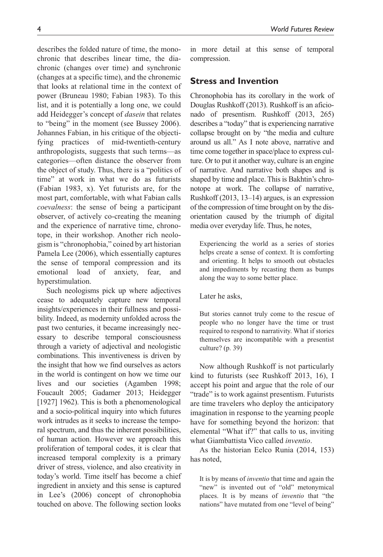describes the folded nature of time, the monochronic that describes linear time, the diachronic (changes over time) and synchronic (changes at a specific time), and the chronemic that looks at relational time in the context of power (Bruneau 1980; Fabian 1983). To this list, and it is potentially a long one, we could add Heidegger's concept of *dasein* that relates to "being" in the moment (see Bussey 2006). Johannes Fabian, in his critique of the objectifying practices of mid-twentieth-century anthropologists, suggests that such terms—as categories—often distance the observer from the object of study. Thus, there is a "politics of time" at work in what we do as futurists (Fabian 1983, x). Yet futurists are, for the most part, comfortable, with what Fabian calls *coevalness*: the sense of being a participant observer, of actively co-creating the meaning and the experience of narrative time, chronotope, in their workshop. Another rich neologism is "chronophobia," coined by art historian Pamela Lee (2006), which essentially captures the sense of temporal compression and its emotional load of anxiety, fear, and hyperstimulation.

Such neologisms pick up where adjectives cease to adequately capture new temporal insights/experiences in their fullness and possibility. Indeed, as modernity unfolded across the past two centuries, it became increasingly necessary to describe temporal consciousness through a variety of adjectival and neologistic combinations. This inventiveness is driven by the insight that how we find ourselves as actors in the world is contingent on how we time our lives and our societies (Agamben 1998; Foucault 2005; Gadamer 2013; Heidegger [1927] 1962). This is both a phenomenological and a socio-political inquiry into which futures work intrudes as it seeks to increase the temporal spectrum, and thus the inherent possibilities, of human action. However we approach this proliferation of temporal codes, it is clear that increased temporal complexity is a primary driver of stress, violence, and also creativity in today's world. Time itself has become a chief ingredient in anxiety and this sense is captured in Lee's (2006) concept of chronophobia touched on above. The following section looks

in more detail at this sense of temporal compression.

## **Stress and Invention**

Chronophobia has its corollary in the work of Douglas Rushkoff (2013). Rushkoff is an aficionado of presentism. Rushkoff (2013, 265) describes a "today" that is experiencing narrative collapse brought on by "the media and culture around us all." As I note above, narrative and time come together in space/place to express culture. Or to put it another way, culture is an engine of narrative. And narrative both shapes and is shaped by time and place. This is Bakhtin's chronotope at work. The collapse of narrative, Rushkoff (2013, 13–14) argues, is an expression of the compression of time brought on by the disorientation caused by the triumph of digital media over everyday life. Thus, he notes,

Experiencing the world as a series of stories helps create a sense of context. It is comforting and orienting. It helps to smooth out obstacles and impediments by recasting them as bumps along the way to some better place.

Later he asks,

But stories cannot truly come to the rescue of people who no longer have the time or trust required to respond to narrativity. What if stories themselves are incompatible with a presentist culture? (p. 39)

Now although Rushkoff is not particularly kind to futurists (see Rushkoff 2013, 16), I accept his point and argue that the role of our "trade" is to work against presentism. Futurists are time travelers who deploy the anticipatory imagination in response to the yearning people have for something beyond the horizon: that elemental "What if?" that calls to us, inviting what Giambattista Vico called *inventio*.

As the historian Eelco Runia (2014, 153) has noted,

It is by means of *inventio* that time and again the "new" is invented out of "old" metonymical places. It is by means of *inventio* that "the nations" have mutated from one "level of being"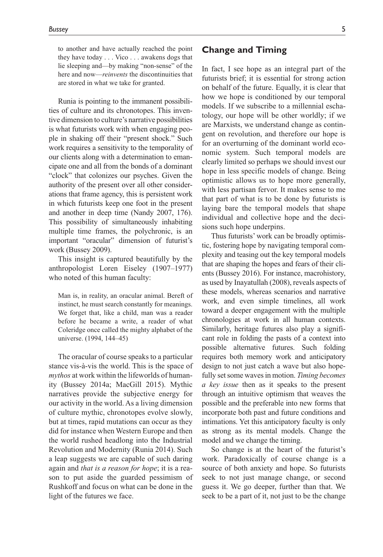to another and have actually reached the point they have today . . . Vico . . . awakens dogs that lie sleeping and—by making "non-sense" of the here and now—*reinvents* the discontinuities that are stored in what we take for granted.

Runia is pointing to the immanent possibilities of culture and its chronotopes. This inventive dimension to culture's narrative possibilities is what futurists work with when engaging people in shaking off their "present shock." Such work requires a sensitivity to the temporality of our clients along with a determination to emancipate one and all from the bonds of a dominant "clock" that colonizes our psyches. Given the authority of the present over all other considerations that frame agency, this is persistent work in which futurists keep one foot in the present and another in deep time (Nandy 2007, 176). This possibility of simultaneously inhabiting multiple time frames, the polychronic, is an important "oracular" dimension of futurist's work (Bussey 2009).

This insight is captured beautifully by the anthropologist Loren Eiseley (1907–1977) who noted of this human faculty:

Man is, in reality, an oracular animal. Bereft of instinct, he must search constantly for meanings. We forget that, like a child, man was a reader before he became a write, a reader of what Coleridge once called the mighty alphabet of the universe. (1994, 144–45)

The oracular of course speaks to a particular stance vis-à-vis the world. This is the space of *mythos* at work within the lifeworlds of humanity (Bussey 2014a; MacGill 2015). Mythic narratives provide the subjective energy for our activity in the world. As a living dimension of culture mythic, chronotopes evolve slowly, but at times, rapid mutations can occur as they did for instance when Western Europe and then the world rushed headlong into the Industrial Revolution and Modernity (Runia 2014). Such a leap suggests we are capable of such daring again and *that is a reason for hope*; it is a reason to put aside the guarded pessimism of Rushkoff and focus on what can be done in the light of the futures we face.

## **Change and Timing**

In fact, I see hope as an integral part of the futurists brief; it is essential for strong action on behalf of the future. Equally, it is clear that how we hope is conditioned by our temporal models. If we subscribe to a millennial eschatology, our hope will be other worldly; if we are Marxists, we understand change as contingent on revolution, and therefore our hope is for an overturning of the dominant world economic system. Such temporal models are clearly limited so perhaps we should invest our hope in less specific models of change. Being optimistic allows us to hope more generally, with less partisan fervor. It makes sense to me that part of what is to be done by futurists is laying bare the temporal models that shape individual and collective hope and the decisions such hope underpins.

Thus futurists' work can be broadly optimistic, fostering hope by navigating temporal complexity and teasing out the key temporal models that are shaping the hopes and fears of their clients (Bussey 2016). For instance, macrohistory, as used by Inayatullah (2008), reveals aspects of these models, whereas scenarios and narrative work, and even simple timelines, all work toward a deeper engagement with the multiple chronologies at work in all human contexts. Similarly, heritage futures also play a significant role in folding the pasts of a context into possible alternative futures. Such folding requires both memory work and anticipatory design to not just catch a wave but also hopefully set some waves in motion. *Timing becomes a key issue* then as it speaks to the present through an intuitive optimism that weaves the possible and the preferable into new forms that incorporate both past and future conditions and intimations. Yet this anticipatory faculty is only as strong as its mental models. Change the model and we change the timing.

So change is at the heart of the futurist's work. Paradoxically of course change is a source of both anxiety and hope. So futurists seek to not just manage change, or second guess it. We go deeper, further than that. We seek to be a part of it, not just to be the change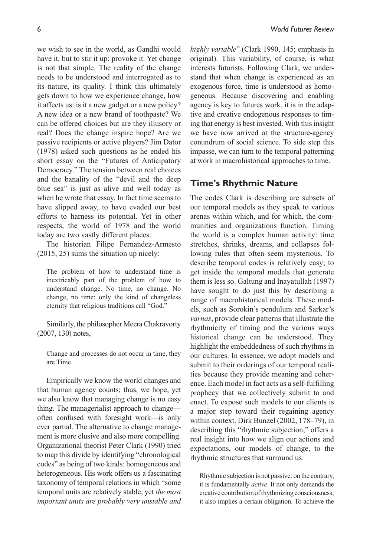we wish to see in the world, as Gandhi would have it, but to stir it up: provoke it. Yet change is not that simple. The reality of the change needs to be understood and interrogated as to its nature, its quality. I think this ultimately gets down to how we experience change, how it affects us: is it a new gadget or a new policy? A new idea or a new brand of toothpaste? We can be offered choices but are they illusory or real? Does the change inspire hope? Are we passive recipients or active players? Jim Dator (1978) asked such questions as he ended his short essay on the "Futures of Anticipatory Democracy." The tension between real choices and the banality of the "devil and the deep blue sea" is just as alive and well today as when he wrote that essay. In fact time seems to have slipped away, to have evaded our best efforts to harness its potential. Yet in other respects, the world of 1978 and the world today are two vastly different places.

The historian Filipe Fernandez-Armesto (2015, 25) sums the situation up nicely:

The problem of how to understand time is inextricably part of the problem of how to understand change. No time, no change. No change, no time: only the kind of changeless eternity that religious traditions call "God."

Similarly, the philosopher Meera Chakravorty (2007, 130) notes,

Change and processes do not occur in time, they are Time.

Empirically we know the world changes and that human agency counts; thus, we hope, yet we also know that managing change is no easy thing. The managerialist approach to change often confused with foresight work—is only ever partial. The alternative to change management is more elusive and also more compelling. Organizational theorist Peter Clark (1990) tried to map this divide by identifying "chronological codes" as being of two kinds: homogeneous and heterogeneous. His work offers us a fascinating taxonomy of temporal relations in which "some temporal units are relatively stable, yet *the most important units are probably very unstable and*  *highly variable*" (Clark 1990, 145; emphasis in original). This variability, of course, is what interests futurists. Following Clark, we understand that when change is experienced as an exogenous force, time is understood as homogeneous. Because discovering and enabling agency is key to futures work, it is in the adaptive and creative endogenous responses to timing that energy is best invested. With this insight we have now arrived at the structure-agency conundrum of social science. To side step this impasse, we can turn to the temporal patterning at work in macrohistorical approaches to time.

## **Time's Rhythmic Nature**

The codes Clark is describing are subsets of our temporal models as they speak to various arenas within which, and for which, the communities and organizations function. Timing the world is a complex human activity: time stretches, shrinks, dreams, and collapses following rules that often seem mysterious. To describe temporal codes is relatively easy; to get inside the temporal models that generate them is less so. Galtung and Inayatullah (1997) have sought to do just this by describing a range of macrohistorical models. These models, such as Sorokin's pendulum and Sarkar's *varnas*, provide clear patterns that illustrate the rhythmicity of timing and the various ways historical change can be understood. They highlight the embeddedness of such rhythms in our cultures. In essence, we adopt models and submit to their orderings of our temporal realities because they provide meaning and coherence. Each model in fact acts as a self-fulfilling prophecy that we collectively submit to and enact. To expose such models to our clients is a major step toward their regaining agency within context. Dirk Bunzel (2002, 178–79), in describing this "rhythmic subjection," offers a real insight into how we align our actions and expectations, our models of change, to the rhythmic structures that surround us:

Rhythmic subjection is not passive: on the contrary, it is fundamentally *active*. It not only demands the creative contribution of rhythmizing consciousness; it also implies a certain obligation. To achieve the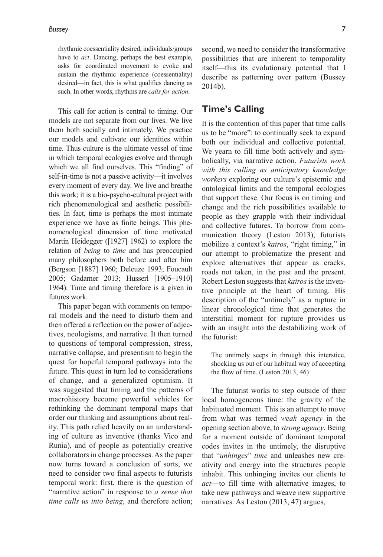rhythmic coessentiality desired, individuals/groups have to *act*. Dancing, perhaps the best example, asks for coordinated movement to evoke and sustain the rhythmic experience (coessentiality) desired—in fact, this is what qualifies dancing as such. In other words, rhythms are *calls for action*.

This call for action is central to timing. Our models are not separate from our lives. We live them both socially and intimately. We practice our models and cultivate our identities within time. Thus culture is the ultimate vessel of time in which temporal ecologies evolve and through which we all find ourselves. This "finding" of self-in-time is not a passive activity—it involves every moment of every day. We live and breathe this work; it is a bio-psycho-cultural project with rich phenomenological and aesthetic possibilities. In fact, time is perhaps the most intimate experience we have as finite beings. This phenomenological dimension of time motivated Martin Heidegger ([1927] 1962) to explore the relation of *being* to *time* and has preoccupied many philosophers both before and after him (Bergson [1887] 1960; Deleuze 1993; Foucault 2005; Gadamer 2013; Husserl [1905–1910] 1964). Time and timing therefore is a given in futures work.

This paper began with comments on temporal models and the need to disturb them and then offered a reflection on the power of adjectives, neologisms, and narrative. It then turned to questions of temporal compression, stress, narrative collapse, and presentism to begin the quest for hopeful temporal pathways into the future. This quest in turn led to considerations of change, and a generalized optimism. It was suggested that timing and the patterns of macrohistory become powerful vehicles for rethinking the dominant temporal maps that order our thinking and assumptions about reality. This path relied heavily on an understanding of culture as inventive (thanks Vico and Runia), and of people as potentially creative collaborators in change processes. As the paper now turns toward a conclusion of sorts, we need to consider two final aspects to futurists temporal work: first, there is the question of "narrative action" in response to *a sense that time calls us into being*, and therefore action;

second, we need to consider the transformative possibilities that are inherent to temporality itself—this its evolutionary potential that I describe as patterning over pattern (Bussey 2014b).

## **Time's Calling**

It is the contention of this paper that time calls us to be "more": to continually seek to expand both our individual and collective potential. We yearn to fill time both actively and symbolically, via narrative action. *Futurists work with this calling as anticipatory knowledge workers* exploring our culture's epistemic and ontological limits and the temporal ecologies that support these. Our focus is on timing and change and the rich possibilities available to people as they grapple with their individual and collective futures. To borrow from communication theory (Leston 2013), futurists mobilize a context's *kairos*, "right timing," in our attempt to problematize the present and explore alternatives that appear as cracks, roads not taken, in the past and the present. Robert Leston suggests that *kairos* is the inventive principle at the heart of timing. His description of the "untimely" as a rupture in linear chronological time that generates the interstitial moment for rupture provides us with an insight into the destabilizing work of the futurist:

The untimely seeps in through this interstice, shocking us out of our habitual way of accepting the flow of time. (Leston 2013, 46)

The futurist works to step outside of their local homogeneous time: the gravity of the habituated moment. This is an attempt to move from what was termed *weak agency* in the opening section above, to *strong agency*. Being for a moment outside of dominant temporal codes invites in the untimely, the disruptive that "*unhinges*" *time* and unleashes new creativity and energy into the structures people inhabit. This unhinging invites our clients to *act*—to fill time with alternative images, to take new pathways and weave new supportive narratives. As Leston (2013, 47) argues,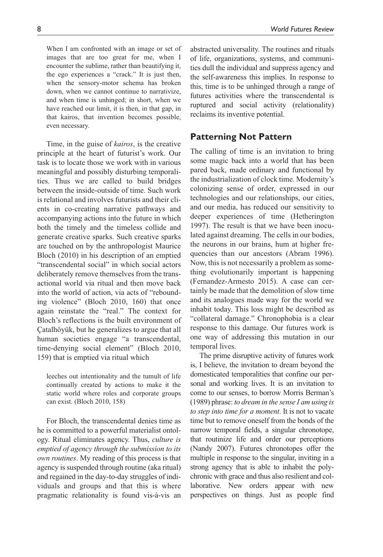When I am confronted with an image or set of images that are too great for me, when I encounter the sublime, rather than beautifying it, the ego experiences a "crack." It is just then, when the sensory-motor schema has broken down, when we cannot continue to narrativize, and when time is unhinged; in short, when we have reached our limit, it is then, in that gap, in that kairos, that invention becomes possible, even necessary.

Time, in the guise of *kairos*, is the creative principle at the heart of futurist's work. Our task is to locate those we work with in various meaningful and possibly disturbing temporalities. Thus we are called to build bridges between the inside-outside of time. Such work is relational and involves futurists and their clients in co-creating narrative pathways and accompanying actions into the future in which both the timely and the timeless collide and generate creative sparks. Such creative sparks are touched on by the anthropologist Maurice Bloch (2010) in his description of an emptied "transcendental social" in which social actors deliberately remove themselves from the transactional world via ritual and then move back into the world of action, via acts of "rebounding violence" (Bloch 2010, 160) that once again reinstate the "real." The context for Bloch's reflections is the built environment of Çatalhöyük, but he generalizes to argue that all human societies engage "a transcendental, time-denying social element" (Bloch 2010, 159) that is emptied via ritual which

leeches out intentionality and the tumult of life continually created by actions to make it the static world where roles and corporate groups can exist. (Bloch 2010, 158)

For Bloch, the transcendental denies time as he is committed to a powerful materialist ontology. Ritual eliminates agency. Thus, *culture is emptied of agency through the submission to its own routines*. My reading of this process is that agency is suspended through routine (aka ritual) and regained in the day-to-day struggles of individuals and groups and that this is where pragmatic relationality is found vis-à-vis an abstracted universality. The routines and rituals of life, organizations, systems, and communities dull the individual and suppress agency and the self-awareness this implies. In response to this, time is to be unhinged through a range of futures activities where the transcendental is ruptured and social activity (relationality) reclaims its inventive potential.

## **Patterning Not Pattern**

The calling of time is an invitation to bring some magic back into a world that has been pared back, made ordinary and functional by the industrialization of clock time. Modernity's colonizing sense of order, expressed in our technologies and our relationships, our cities, and our media, has reduced our sensitivity to deeper experiences of time (Hetherington 1997). The result is that we have been inoculated against dreaming. The cells in our bodies, the neurons in our brains, hum at higher frequencies than our ancestors (Abram 1996). Now, this is not necessarily a problem as something evolutionarily important is happening (Fernandez-Armesto 2015). A case can certainly be made that the demolition of slow time and its analogues made way for the world we inhabit today. This loss might be described as "collateral damage." Chronophobia is a clear response to this damage. Our futures work is one way of addressing this mutation in our temporal lives.

The prime disruptive activity of futures work is, I believe, the invitation to dream beyond the domesticated temporalities that confine our personal and working lives. It is an invitation to come to our senses, to borrow Morris Berman's (1989) phrase: *to dream in the sense I am using is to step into time for a moment*. It is not to vacate time but to remove oneself from the bonds of the narrow temporal fields, a singular chronotope, that routinize life and order our perceptions (Nandy 2007). Futures chronotopes offer the multiple in response to the singular, inviting in a strong agency that is able to inhabit the polychronic with grace and thus also resilient and collaborative. New orders appear with new perspectives on things. Just as people find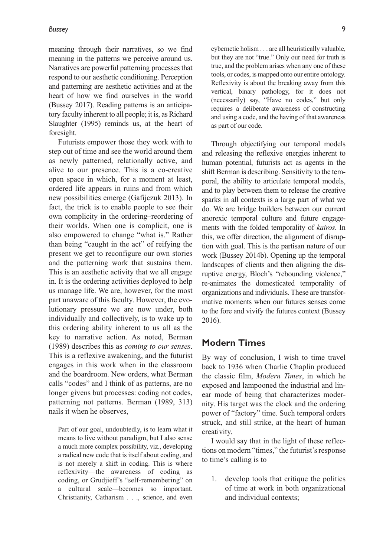meaning through their narratives, so we find meaning in the patterns we perceive around us. Narratives are powerful patterning processes that respond to our aesthetic conditioning. Perception and patterning are aesthetic activities and at the heart of how we find ourselves in the world (Bussey 2017). Reading patterns is an anticipatory faculty inherent to all people; it is, as Richard Slaughter (1995) reminds us, at the heart of foresight.

Futurists empower those they work with to step out of time and see the world around them as newly patterned, relationally active, and alive to our presence. This is a co-creative open space in which, for a moment at least, ordered life appears in ruins and from which new possibilities emerge (Gafijczuk 2013). In fact, the trick is to enable people to see their own complicity in the ordering–reordering of their worlds. When one is complicit, one is also empowered to change "what is." Rather than being "caught in the act" of reifying the present we get to reconfigure our own stories and the patterning work that sustains them. This is an aesthetic activity that we all engage in. It is the ordering activities deployed to help us manage life. We are, however, for the most part unaware of this faculty. However, the evolutionary pressure we are now under, both individually and collectively, is to wake up to this ordering ability inherent to us all as the key to narrative action. As noted, Berman (1989) describes this as *coming to our senses*. This is a reflexive awakening, and the futurist engages in this work when in the classroom and the boardroom. New orders, what Berman calls "codes" and I think of as patterns, are no longer givens but processes: coding not codes, patterning not patterns. Berman (1989, 313) nails it when he observes,

Part of our goal, undoubtedly, is to learn what it means to live without paradigm, but I also sense a much more complex possibility, viz., developing a radical new code that is itself about coding, and is not merely a shift in coding. This is where reflexivity—the awareness of coding as coding, or Grudjieff's "self-remembering" on cultural scale—becomes so important. Christianity, Catharism . . ., science, and even

cybernetic holism . . . are all heuristically valuable, but they are not "true." Only our need for truth is true, and the problem arises when any one of these tools, or codes, is mapped onto our entire ontology. Reflexivity is about the breaking away from this vertical, binary pathology, for it does not (necessarily) say, "Have no codes," but only requires a deliberate awareness of constructing and using a code, and the having of that awareness as part of our code.

Through objectifying our temporal models and releasing the reflexive energies inherent to human potential, futurists act as agents in the shift Berman is describing. Sensitivity to the temporal, the ability to articulate temporal models, and to play between them to release the creative sparks in all contexts is a large part of what we do. We are bridge builders between our current anorexic temporal culture and future engagements with the folded temporality of *kairos.* In this, we offer direction, the alignment of disruption with goal. This is the partisan nature of our work (Bussey 2014b). Opening up the temporal landscapes of clients and then aligning the disruptive energy, Bloch's "rebounding violence," re-animates the domesticated temporality of organizations and individuals. These are transformative moments when our futures senses come to the fore and vivify the futures context (Bussey 2016).

#### **Modern Times**

By way of conclusion, I wish to time travel back to 1936 when Charlie Chaplin produced the classic film, *Modern Times*, in which he exposed and lampooned the industrial and linear mode of being that characterizes modernity. His target was the clock and the ordering power of "factory" time. Such temporal orders struck, and still strike, at the heart of human creativity.

I would say that in the light of these reflections on modern "times," the futurist's response to time's calling is to

1. develop tools that critique the politics of time at work in both organizational and individual contexts;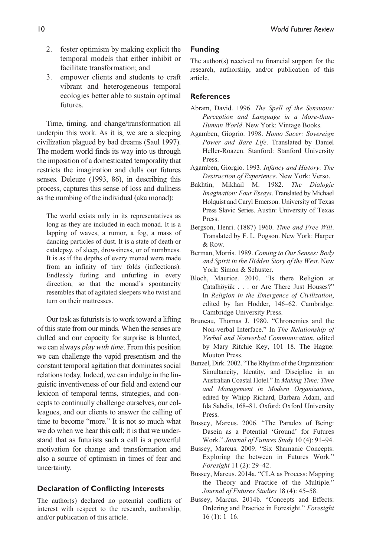- 2. foster optimism by making explicit the temporal models that either inhibit or facilitate transformation; and
- 3. empower clients and students to craft vibrant and heterogeneous temporal ecologies better able to sustain optimal futures.

Time, timing, and change/transformation all underpin this work. As it is, we are a sleeping civilization plagued by bad dreams (Saul 1997). The modern world finds its way into us through the imposition of a domesticated temporality that restricts the imagination and dulls our futures senses. Deleuze (1993, 86), in describing this process, captures this sense of loss and dullness as the numbing of the individual (aka monad):

The world exists only in its representatives as long as they are included in each monad. It is a lapping of waves, a rumor, a fog, a mass of dancing particles of dust. It is a state of death or catalepsy, of sleep, drowsiness, or of numbness. It is as if the depths of every monad were made from an infinity of tiny folds (inflections). Endlessly furling and unfurling in every direction, so that the monad's spontaneity resembles that of agitated sleepers who twist and turn on their mattresses.

Our task as futurists is to work toward a lifting of this state from our minds. When the senses are dulled and our capacity for surprise is blunted, we can always *play with time*. From this position we can challenge the vapid presentism and the constant temporal agitation that dominates social relations today. Indeed, we can indulge in the linguistic inventiveness of our field and extend our lexicon of temporal terms, strategies, and concepts to continually challenge ourselves, our colleagues, and our clients to answer the calling of time to become "more." It is not so much what we do when we hear this call; it is that we understand that as futurists such a call is a powerful motivation for change and transformation and also a source of optimism in times of fear and uncertainty.

#### **Declaration of Conflicting Interests**

The author(s) declared no potential conflicts of interest with respect to the research, authorship, and/or publication of this article.

#### **Funding**

The author(s) received no financial support for the research, authorship, and/or publication of this article.

#### **References**

- Abram, David. 1996. *The Spell of the Sensuous: Perception and Language in a More-than-Human World*. New York: Vintage Books.
- Agamben, Giogrio. 1998. *Homo Sacer: Sovereign Power and Bare Life*. Translated by Daniel Heller-Roazen. Stanford: Stanford University Press.
- Agamben, Giorgio. 1993. *Infancy and History: The Destruction of Experience*. New York: Verso.
- Bakhtin, Mikhail M. 1982. *The Dialogic Imagination: Four Essays*. Translated by Michael Holquist and Caryl Emerson. University of Texas Press Slavic Series. Austin: University of Texas Press.
- Bergson, Henri. (1887) 1960. *Time and Free Will*. Translated by F. L. Pogson. New York: Harper & Row.
- Berman, Morris. 1989. *Coming to Our Senses: Body and Spirit in the Hidden Story of the West*. New York: Simon & Schuster.
- Bloch, Maurice. 2010. "Is there Religion at Çatalhöyük . . . or Are There Just Houses?" In *Religion in the Emergence of Civilization*, edited by Ian Hodder, 146–62. Cambridge: Cambridge University Press.
- Bruneau, Thomas J. 1980. "Chronemics and the Non-verbal Interface." In *The Relationship of Verbal and Nonverbal Communication*, edited by Mary Ritchie Key, 101–18. The Hague: Mouton Press.
- Bunzel, Dirk. 2002. "The Rhythm of the Organization: Simultaneity, Identity, and Discipline in an Australian Coastal Hotel." In *Making Time: Time and Management in Modern Organizations*, edited by Whipp Richard, Barbara Adam, and Ida Sabelis, 168–81. Oxford: Oxford University Press.
- Bussey, Marcus. 2006. "The Paradox of Being: Dasein as a Potential 'Ground' for Futures Work." *Journal of Futures Study* 10 (4): 91–94.
- Bussey, Marcus. 2009. "Six Shamanic Concepts: Exploring the between in Futures Work." *Foresight* 11 (2): 29–42.
- Bussey, Marcus. 2014a. "CLA as Process: Mapping the Theory and Practice of the Multiple." *Journal of Futures Studies* 18 (4): 45–58.
- Bussey, Marcus. 2014b. "Concepts and Effects: Ordering and Practice in Foresight." *Foresight* 16 (1): 1–16.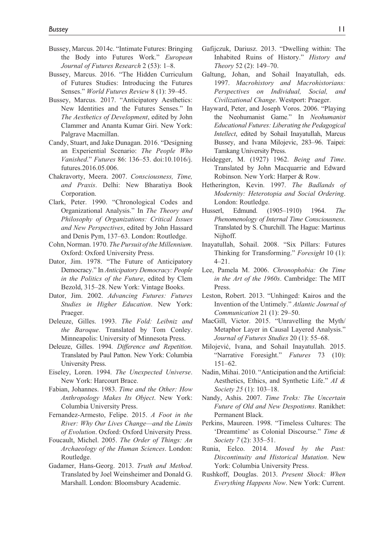- Bussey, Marcus. 2014c. "Intimate Futures: Bringing the Body into Futures Work." *European Journal of Futures Research* 2 (53): 1–8.
- Bussey, Marcus. 2016. "The Hidden Curriculum of Futures Studies: Introducing the Futures Senses." *World Futures Review* 8 (1): 39–45.
- Bussey, Marcus. 2017. "Anticipatory Aesthetics: New Identities and the Futures Senses." In *The Aesthetics of Development*, edited by John Clammer and Ananta Kumar Giri. New York: Palgrave Macmillan.
- Candy, Stuart, and Jake Dunagan. 2016. "Designing an Experiential Scenario: *The People Who Vanished*." *Futures* 86: 136–53. doi:10.1016/j. futures.2016.05.006.
- Chakravorty, Meera. 2007. *Consciousness, Time, and Praxis*. Delhi: New Bharatiya Book Corporation.
- Clark, Peter. 1990. "Chronological Codes and Organizational Analysis." In *The Theory and Philosophy of Organizations: Critical Issues and New Perspectives*, edited by John Hassard and Denis Pym, 137–63. London: Routledge.
- Cohn, Norman. 1970. *The Pursuit of the Millennium*. Oxford: Oxford University Press.
- Dator, Jim. 1978. "The Future of Anticipatory Democracy." In *Anticipatory Democracy: People in the Politics of the Future*, edited by Clem Bezold, 315–28. New York: Vintage Books.
- Dator, Jim. 2002. *Advancing Futures: Futures Studies in Higher Education*. New York: Praeger.
- Deleuze, Gilles. 1993. *The Fold: Leibniz and the Baroque*. Translated by Tom Conley. Minneapolis: University of Minnesota Press.
- Deleuze, Gilles. 1994. *Difference and Repetition*. Translated by Paul Patton. New York: Columbia University Press.
- Eiseley, Loren. 1994. *The Unexpected Universe*. New York: Harcourt Brace.
- Fabian, Johannes. 1983. *Time and the Other: How Anthropology Makes Its Object*. New York: Columbia University Press.
- Fernandez-Armesto, Felipe. 2015. *A Foot in the River: Why Our Lives Change—and the Limits of Evolution*. Oxford: Oxford University Press.
- Foucault, Michel. 2005. *The Order of Things: An Archaeology of the Human Sciences*. London: Routledge.
- Gadamer, Hans-Georg. 2013. *Truth and Method*. Translated by Joel Weinsheimer and Donald G. Marshall. London: Bloomsbury Academic.
- Gafijczuk, Dariusz. 2013. "Dwelling within: The Inhabited Ruins of History." *History and Theory* 52 (2): 149–70.
- Galtung, Johan, and Sohail Inayatullah, eds. 1997. *Macrohistory and Macrohistorians: Perspectives on Individual, Social, and Civilizational Change*. Westport: Praeger.
- Hayward, Peter, and Joseph Voros. 2006. "Playing the Neohumanist Game." In *Neohumanist Educational Futures: Liberating the Pedagogical Intellect*, edited by Sohail Inayatullah, Marcus Bussey, and Ivana Milojevic, 283–96. Taipei: Tamkang University Press.
- Heidegger, M. (1927) 1962. *Being and Time*. Translated by John Macquarrie and Edward Robinson. New York: Harper & Row.
- Hetherington, Kevin. 1997. *The Badlands of Modernity: Heterotopia and Social Ordering*. London: Routledge.
- Husserl, Edmund. (1905–1910) 1964. *The Phenomenology of Internal Time Consciousness*. Translated by S. Churchill. The Hague: Martinus Nijhoff.
- Inayatullah, Sohail. 2008. "Six Pillars: Futures Thinking for Transforming." *Foresight* 10 (1): 4–21.
- Lee, Pamela M. 2006. *Chronophobia: On Time in the Art of the 1960s*. Cambridge: The MIT Press.
- Leston, Robert. 2013. "Unhinged: Kairos and the Invention of the Untimely." *Atlantic Journal of Communication* 21 (1): 29–50.
- MacGill, Victor. 2015. "Unravelling the Myth/ Metaphor Layer in Causal Layered Analysis." *Journal of Futures Studies* 20 (1): 55–68.
- Milojević, Ivana, and Sohail Inayatullah. 2015. "Narrative Foresight." *Futures* 73 (10): 151–62.
- Nadin, Mihai. 2010. "Anticipation and the Artificial: Aesthetics, Ethics, and Synthetic Life." *AI & Society 25* (1): 103–18.
- Nandy, Ashis. 2007. *Time Treks: The Uncertain Future of Old and New Despotisms*. Ranikhet: Permanent Black.
- Perkins, Maureen. 1998. "Timeless Cultures: The 'Dreamtime' as Colonial Discourse." *Time & Society 7* (2): 335–51.
- Runia, Eelco. 2014. *Moved by the Past: Discontinuity and Historical Mutation*. New York: Columbia University Press.
- Rushkoff, Douglas. 2013. *Present Shock: When Everything Happens Now*. New York: Current.